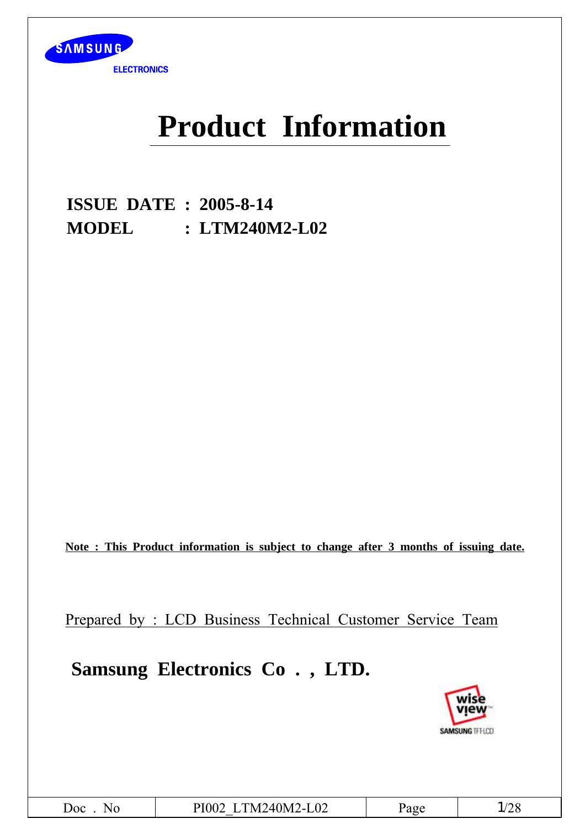

# **Product Information**

**ISSUE DATE : 2005-8-14 MODEL : LTM240M2-L02**

**Note : This Product information is subject to change after 3 months of issuing date.**

Prepared by : LCD Business Technical Customer Service Team

## **Samsung Electronics Co . , LTD.**

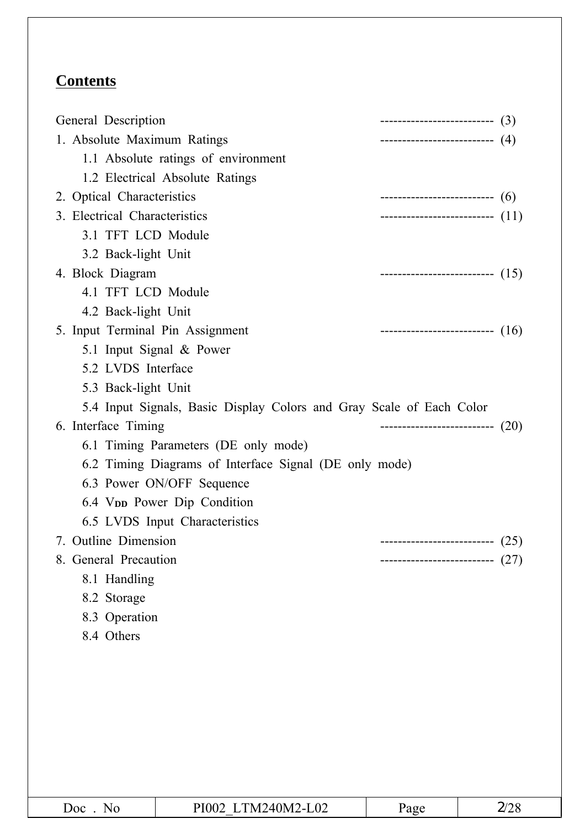### **Contents**

| General Description                                                  | ---------------------------(3)      |
|----------------------------------------------------------------------|-------------------------------------|
| 1. Absolute Maximum Ratings                                          | --------------------------(4)       |
| 1.1 Absolute ratings of environment                                  |                                     |
| 1.2 Electrical Absolute Ratings                                      |                                     |
| 2. Optical Characteristics                                           | --------------------------------(6) |
| 3. Electrical Characteristics                                        | --------------------------- (11)    |
| 3.1 TFT LCD Module                                                   |                                     |
| 3.2 Back-light Unit                                                  |                                     |
| 4. Block Diagram                                                     | --------------------------- (15)    |
| 4.1 TFT LCD Module                                                   |                                     |
| 4.2 Back-light Unit                                                  |                                     |
| 5. Input Terminal Pin Assignment                                     | ---------------------------(16)     |
| 5.1 Input Signal & Power                                             |                                     |
| 5.2 LVDS Interface                                                   |                                     |
| 5.3 Back-light Unit                                                  |                                     |
| 5.4 Input Signals, Basic Display Colors and Gray Scale of Each Color |                                     |
| 6. Interface Timing                                                  | ---------------------------- (20)   |
| 6.1 Timing Parameters (DE only mode)                                 |                                     |
| 6.2 Timing Diagrams of Interface Signal (DE only mode)               |                                     |
|                                                                      |                                     |
| 6.3 Power ON/OFF Sequence                                            |                                     |
| 6.4 V <sub>pp</sub> Power Dip Condition                              |                                     |
| 6.5 LVDS Input Characteristics                                       |                                     |
| 7. Outline Dimension                                                 | ---------------------------(25)     |
| 8. General Precaution                                                | (27)<br>-----------------------     |
| 8.1 Handling                                                         |                                     |
| 8.2 Storage                                                          |                                     |
| 8.3 Operation                                                        |                                     |
| 8.4 Others                                                           |                                     |
|                                                                      |                                     |
|                                                                      |                                     |
|                                                                      |                                     |
|                                                                      |                                     |
|                                                                      |                                     |
|                                                                      |                                     |
|                                                                      |                                     |

| Doc<br>N <sub>0</sub> | PI002 LTM240M2-L02 | Page | 2/28 |
|-----------------------|--------------------|------|------|
|                       |                    |      |      |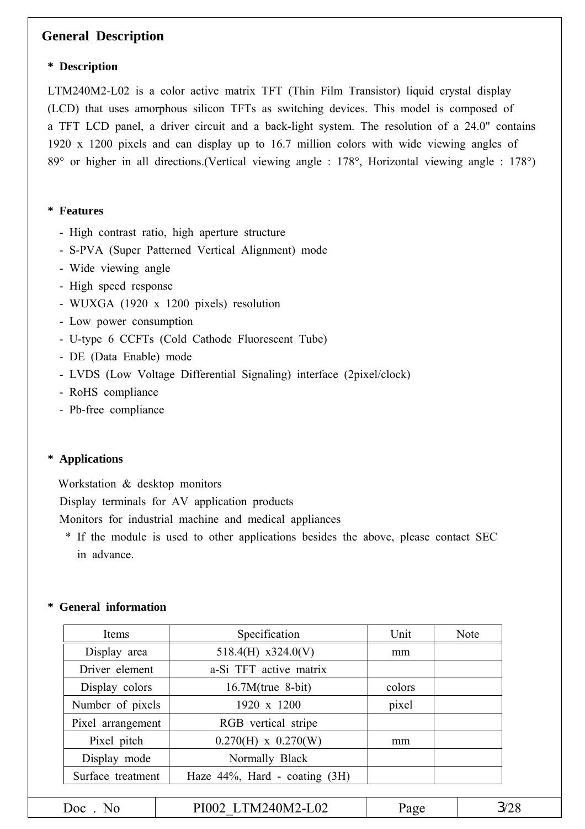#### **General Description**

#### **\* Description**

LTM240M2-L02 is a color active matrix TFT (Thin Film Transistor) liquid crystal display (LCD) that uses amorphous silicon TFTs as switching devices. This model is composed of a TFT LCD panel, a driver circuit and a back-light system. The resolution of a 24.0" contains 1920 x 1200 pixels and can display up to 16.7 million colors with wide viewing angles of 89° or higher in all directions.(Vertical viewing angle : 178°, Horizontal viewing angle : 178°)

#### **\* Features**

- High contrast ratio, high aperture structure
- S-PVA (Super Patterned Vertical Alignment) mode
- Wide viewing angle
- High speed response
- WUXGA (1920 x 1200 pixels) resolution
- Low power consumption
- U-type 6 CCFTs (Cold Cathode Fluorescent Tube)
- DE (Data Enable) mode
- LVDS (Low Voltage Differential Signaling) interface (2pixel/clock)
- RoHS compliance
- Pb-free compliance

#### **\* Applications**

Workstation & desktop monitors

Display terminals for AV application products

Monitors for industrial machine and medical appliances

\* If the module is used to other applications besides the above, please contact SEC in advance.

#### **\* General information**

| Items             | Specification                       | Unit   | <b>Note</b> |
|-------------------|-------------------------------------|--------|-------------|
| Display area      | 518.4(H) $x324.0(V)$                | mm     |             |
| Driver element    | a-Si TFT active matrix              |        |             |
| Display colors    | $16.7M$ (true 8-bit)                | colors |             |
| Number of pixels  | 1920 x 1200                         | pixel  |             |
| Pixel arrangement | RGB vertical stripe                 |        |             |
| Pixel pitch       | $0.270(H) \times 0.270(W)$          | mm     |             |
| Display mode      | Normally Black                      |        |             |
| Surface treatment | Haze $44\%$ , Hard - coating $(3H)$ |        |             |
|                   |                                     |        |             |
| $Doc$ No          | PI002 LTM240M2-L02                  | Page   | 3/28        |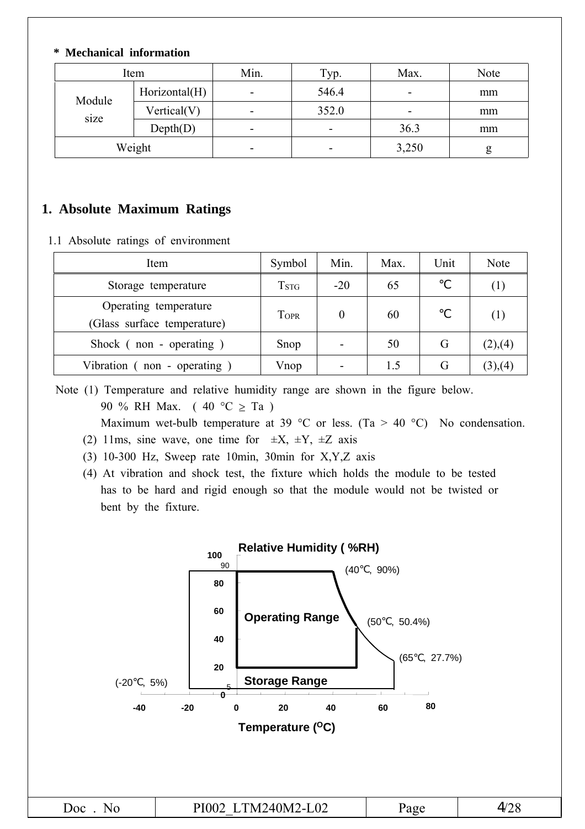#### **\* Mechanical information**

| Item   |               | Min. | Typ.                     | Max.  | Note |
|--------|---------------|------|--------------------------|-------|------|
| Module | Horizontal(H) | -    | 546.4                    | -     | mm   |
|        | Vertical(V)   | -    | 352.0                    | -     | mm   |
| size   | Depth(D)      |      | $\overline{\phantom{a}}$ | 36.3  | mm   |
| Weight |               | -    | -                        | 3,250 | g    |

#### **1. Absolute Maximum Ratings**

1.1 Absolute ratings of environment

| Item                                                 | Symbol             | Min.                     | Max. | Unit | Note    |
|------------------------------------------------------|--------------------|--------------------------|------|------|---------|
| Storage temperature                                  | $T_{\mathrm{STG}}$ | $-20$                    | 65   |      | (1)     |
| Operating temperature<br>(Glass surface temperature) | <b>TOPR</b>        | 0                        | 60   |      | (1)     |
| Shock $($ non - operating $)$                        | Snop               |                          | 50   | G    | (2),(4) |
| Vibration (non - operating                           | Vnop               | $\overline{\phantom{a}}$ | 1.5  | G    | (3),(4) |

Note (1) Temperature and relative humidity range are shown in the figure below. 90 % RH Max. (40 °C  $\geq$  Ta)

Maximum wet-bulb temperature at 39 °C or less. (Ta > 40 °C) No condensation.

- (2) 11ms, sine wave, one time for  $\pm X$ ,  $\pm Y$ ,  $\pm Z$  axis
- (3) 10-300 Hz, Sweep rate 10min, 30min for X,Y,Z axis
- (4) At vibration and shock test, the fixture which holds the module to be tested has to be hard and rigid enough so that the module would not be twisted or bent by the fixture.

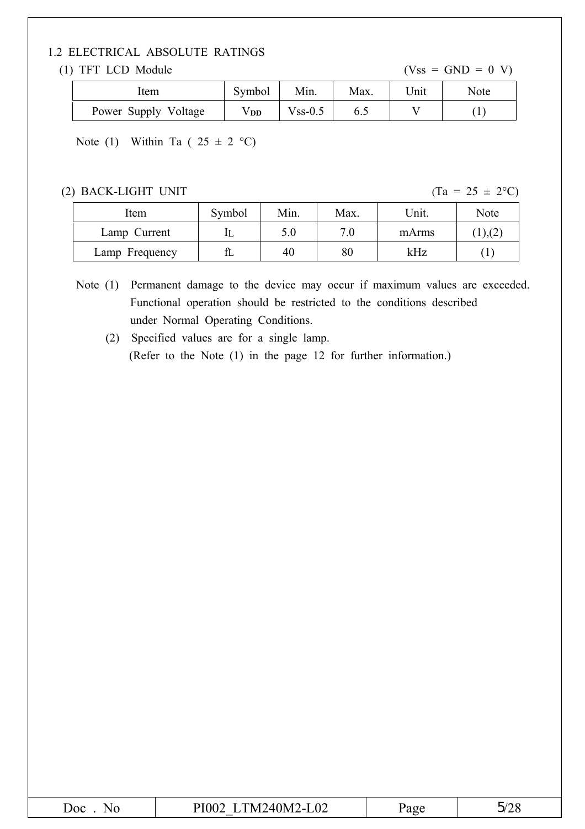#### 1.2 ELECTRICAL ABSOLUTE RATINGS

#### (1) TFT LCD Module  $(Vss = GND = 0 V)$

| ltem                 | Symbol | Min.       | Max. | Unit | Note |
|----------------------|--------|------------|------|------|------|
| Power Supply Voltage | Vdd    | $V$ ss-0.5 |      |      |      |

Note (1) Within Ta (  $25 \pm 2$  °C)

#### (2) BACK-LIGHT UNIT  $(Ta = 25 \pm 2^{\circ}C)$

| Item           | Symbol | Min. | Max. | Unit. | Note     |
|----------------|--------|------|------|-------|----------|
| Lamp Current   |        | 5.0  | 7 በ  | mArms | 1),( $2$ |
| Lamp Frequency | fL     | 40   | 80   | kHz   |          |

Note (1) Permanent damage to the device may occur if maximum values are exceeded. Functional operation should be restricted to the conditions described under Normal Operating Conditions.

(2) Specified values are for a single lamp. (Refer to the Note (1) in the page 12 for further information.)

|--|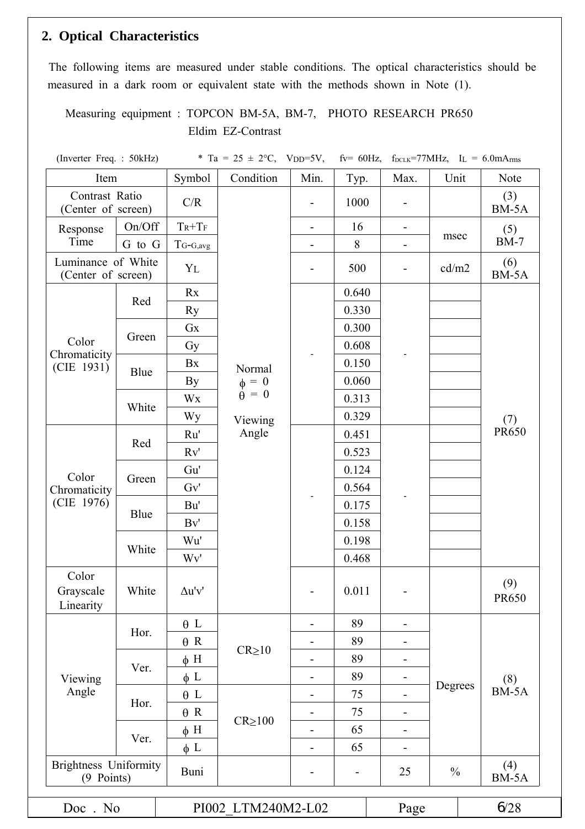#### **2. Optical Characteristics**

The following items are measured under stable conditions. The optical characteristics should be measured in a dark room or equivalent state with the methods shown in Note (1).

Measuring equipment : TOPCON BM-5A, BM-7, PHOTO RESEARCH PR650 Eldim EZ-Contrast

(Inverter Freq. : 50kHz)  $*$  Ta = 25  $\pm$  2°C, VDD=5V, fv= 60Hz, f<sub>DCLK</sub>=77MHz, IL = 6.0mArms

| Item                                       |        | Symbol        | Condition                                             | Min.                         | Typ.                     | Max.                         | Unit          | Note                |  |
|--------------------------------------------|--------|---------------|-------------------------------------------------------|------------------------------|--------------------------|------------------------------|---------------|---------------------|--|
| Contrast Ratio<br>(Center of screen)       |        | C/R           |                                                       | $\overline{\phantom{a}}$     | 1000                     | $\overline{\phantom{a}}$     |               | (3)<br>BM-5A        |  |
| Response                                   | On/Off | $T_R + T_F$   |                                                       | $\overline{\phantom{a}}$     | 16                       | $\blacksquare$               |               | (5)                 |  |
| Time                                       | G to G | $T_{G-G,avg}$ |                                                       | -                            | 8                        | $\blacksquare$               | msec          | $BM-7$              |  |
| Luminance of White<br>(Center of screen)   |        | YL            |                                                       | $\overline{\phantom{a}}$     | 500                      | $\blacksquare$               | cd/m2         | (6)<br>BM-5A        |  |
|                                            |        | Rx            |                                                       |                              | 0.640                    |                              |               |                     |  |
|                                            | Red    | Ry            |                                                       |                              | 0.330                    |                              |               |                     |  |
|                                            |        | Gx            | Gy                                                    | 0.300                        |                          |                              |               |                     |  |
| Color                                      | Green  |               |                                                       | 0.608                        |                          |                              |               |                     |  |
| Chromaticity<br>(CIE 1931)                 |        | Bx            | Normal                                                |                              | 0.150                    |                              |               |                     |  |
|                                            | Blue   | By            | $\begin{array}{c} \phi = 0 \\ \theta = 0 \end{array}$ |                              | 0.060                    |                              |               |                     |  |
|                                            |        | Wx            |                                                       |                              | 0.313                    |                              |               |                     |  |
|                                            | White  | Wy            | Viewing                                               |                              | 0.329                    |                              |               | (7)                 |  |
|                                            | Red    | Ru'           | Angle                                                 |                              | 0.451                    |                              |               | <b>PR650</b>        |  |
|                                            |        | Rv'           | 0.523                                                 |                              |                          |                              |               |                     |  |
| Color<br>Green<br>Chromaticity             | Gu'    |               |                                                       | 0.124                        |                          |                              |               |                     |  |
|                                            | Gv'    |               |                                                       | 0.564                        |                          |                              |               |                     |  |
| (CIE 1976)                                 |        | Bu'           |                                                       |                              |                          | 0.175                        |               |                     |  |
|                                            | Blue   | Bv'           |                                                       |                              | 0.158                    |                              |               |                     |  |
|                                            |        | Wu'           |                                                       |                              | 0.198                    |                              |               |                     |  |
|                                            | White  | Wv'           |                                                       |                              | 0.468                    |                              |               |                     |  |
| Color<br>Grayscale<br>Linearity            | White  | $\Delta u'v'$ |                                                       |                              | 0.011                    |                              |               | (9)<br><b>PR650</b> |  |
|                                            | Hor.   | $\theta$ L    |                                                       | -                            | 89                       | $\qquad \qquad -$            |               |                     |  |
|                                            |        | $\theta$ R    | $CR \ge 10$                                           |                              | 89                       | $\blacksquare$               |               |                     |  |
|                                            | Ver.   | $\phi$ H      |                                                       |                              | 89                       | -                            |               |                     |  |
| Viewing                                    |        | $\phi$ L      |                                                       | $\qquad \qquad \blacksquare$ | 89                       |                              |               | (8)                 |  |
| Angle                                      | Hor.   | $\theta$ L    |                                                       | $\overline{\phantom{a}}$     | 75                       | $\blacksquare$               | Degrees       | BM-5A               |  |
|                                            |        | $\theta$ R    | $CR \ge 100$                                          | $\overline{\phantom{0}}$     | 75                       | $\qquad \qquad \blacksquare$ |               |                     |  |
|                                            |        | $\phi$ H      |                                                       | $\overline{a}$               | 65                       | $\qquad \qquad \blacksquare$ |               |                     |  |
| Ver.                                       |        | $\phi$ L      |                                                       | $\overline{\phantom{a}}$     | 65                       | $\overline{\phantom{a}}$     |               |                     |  |
| <b>Brightness Uniformity</b><br>(9 Points) |        | Buni          |                                                       | $\overline{\phantom{a}}$     | $\overline{\phantom{a}}$ | 25                           | $\frac{0}{0}$ | (4)<br>BM-5A        |  |
| Doc. No                                    |        |               | PI002 LTM240M2-L02                                    |                              |                          | Page                         |               | 628                 |  |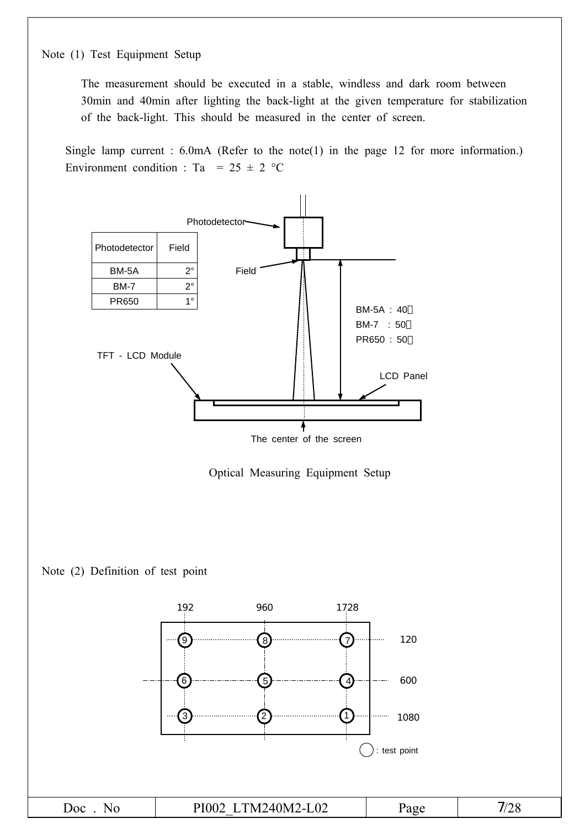#### Note (1) Test Equipment Setup

The measurement should be executed in a stable, windless and dark room between 30min and 40min after lighting the back-light at the given temperature for stabilization of the back-light. This should be measured in the center of screen.

Single lamp current : 6.0mA (Refer to the note(1) in the page 12 for more information.) Environment condition : Ta =  $25 \pm 2$  °C

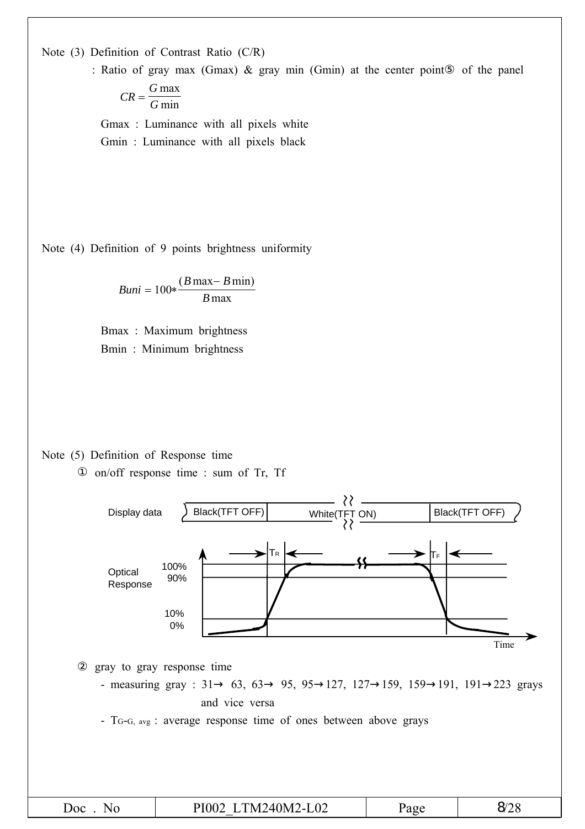Note (3) Definition of Contrast Ratio (C/R)

: Ratio of gray max (Gmax) & gray min (Gmin) at the center point of the panel

$$
CR = \frac{G \max}{G \min}
$$

Gmax : Luminance with all pixels white Gmin : Luminance with all pixels black

Note (4) Definition of 9 points brightness uniformity

$$
Buni = 100 * \frac{(B \max - B \min)}{B \max}
$$

Bmax : Maximum brightness Bmin : Minimum brightness

Note (5) Definition of Response time on/off response time : sum of Tr, Tf

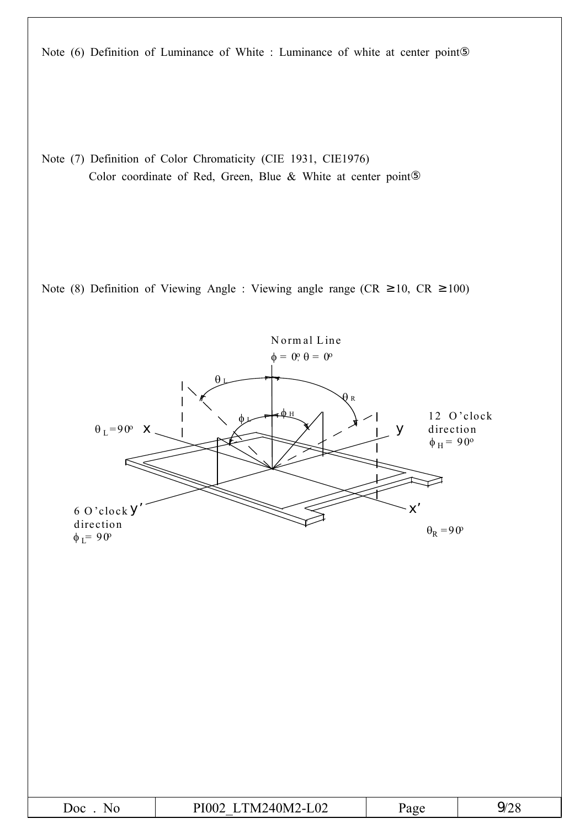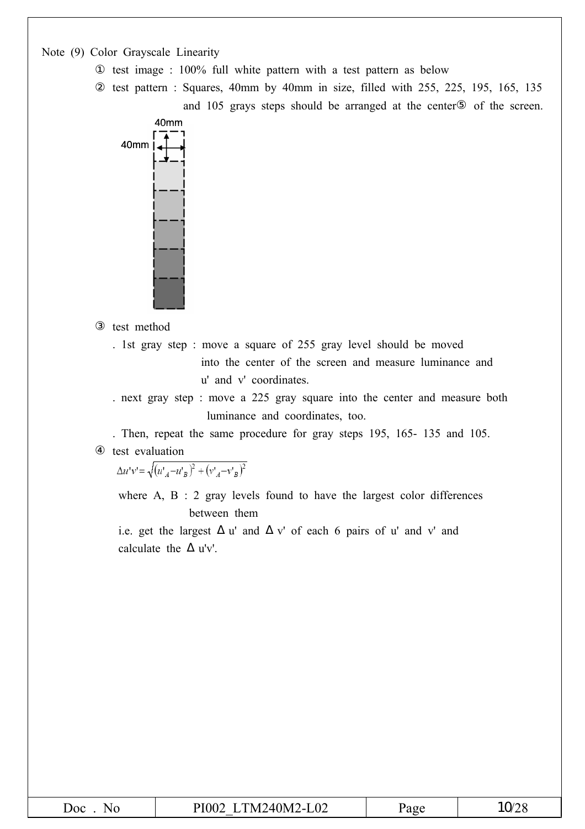Note (9) Color Grayscale Linearity

test image : 100% full white pattern with a test pattern as below

test pattern : Squares, 40mm by 40mm in size, filled with 255, 225, 195, 165, 135

and 105 grays steps should be arranged at the center of the screen.



test method

. 1st gray step : move a square of 255 gray level should be moved into the center of the screen and measure luminance and u' and v' coordinates.

. next gray step : move a 225 gray square into the center and measure both luminance and coordinates, too.

. Then, repeat the same procedure for gray steps 195, 165- 135 and 105. test evaluation

 $\Delta u'v' = \sqrt{(u'_A - u'_B)^2 + (v'_A - v'_B)^2}$ 

where A, B : 2 gray levels found to have the largest color differences between them

i.e. get the largest u' and v' of each 6 pairs of u' and v' and calculate the u'v'.

| Doc<br>NΩ | TM240M2-<br>$-L02$<br>PI002<br>$-1$<br>_ | Page | $\bigcap_{\Lambda}$<br>''<br>∠ |
|-----------|------------------------------------------|------|--------------------------------|
|-----------|------------------------------------------|------|--------------------------------|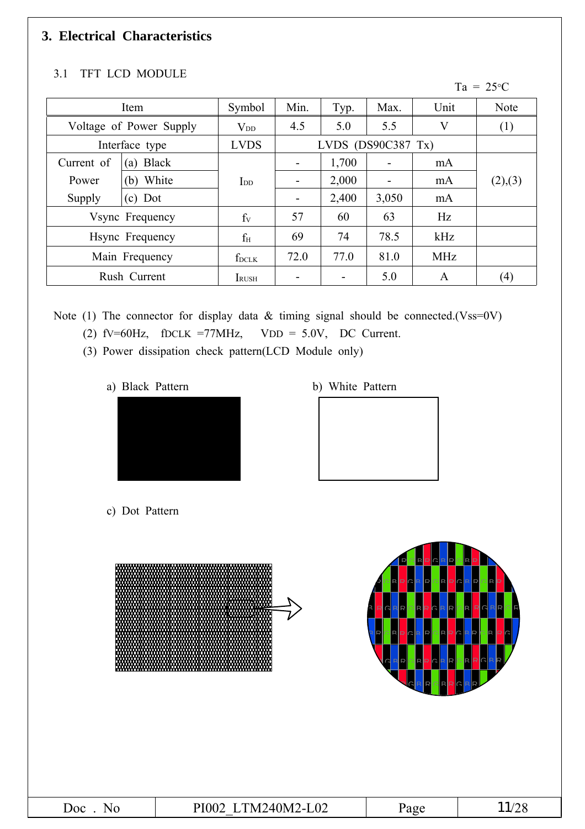### **3. Electrical Characteristics**

#### 3.1 TFT LCD MODULE

Ta =  $25^{\circ}$ C

| Item                    |                | Symbol        | Min.                     | Typ.                  | Max.  | Unit       | Note    |
|-------------------------|----------------|---------------|--------------------------|-----------------------|-------|------------|---------|
| Voltage of Power Supply |                | $V_{DD}$      | 4.5                      | 5.0                   | 5.5   | V          | (1)     |
|                         | Interface type | <b>LVDS</b>   |                          | LVDS (DS90C387 $Tx$ ) |       |            |         |
| Current of              | (a) Black      |               | ۰                        | 1,700                 |       | mA         |         |
| White<br>Power<br>(b)   |                | $\rm{I}_{DD}$ |                          | 2,000                 |       | mA         | (2),(3) |
| $(c)$ Dot<br>Supply     |                |               | $\overline{\phantom{a}}$ | 2,400                 | 3,050 | mA         |         |
| Vsync Frequency         |                | $f_V$         | 57                       | 60                    | 63    | Hz         |         |
| Hsync Frequency         |                | $f_{\rm H}$   | 69                       | 74                    | 78.5  | kHz        |         |
| Main Frequency          |                | $f_{DCLK}$    | 72.0                     | 77.0                  | 81.0  | <b>MHz</b> |         |
|                         | Rush Current   | <b>I</b> RUSH |                          |                       | 5.0   | A          | (4)     |

Note (1) The connector for display data & timing signal should be connected.(Vss=0V)

(2)  $fV=60Hz$ ,  $fDCLK = 77MHz$ ,  $VDD = 5.0V$ , DC Current.

(3) Power dissipation check pattern(LCD Module only)

a) Black Pattern b) White Pattern





c) Dot Pattern

|         | mm                 | Л<br>$\mathsf{D}$<br>$\cap$<br>R<br>▭<br>$\mathsf{R}$<br>R <sub>2</sub><br>RRQRR<br>IR.<br>Þ<br>IRI<br><b>RR</b><br>R<br>R C<br>R<br><b>P</b><br>IR<br>P.<br>R <sub>2</sub><br>R<br>R<br>D<br>₽<br>$\sqrt{2}$<br><b>R</b><br>∍<br>IR<br>R<br>RC<br>៧<br>D<br>R<br>D.<br>C<br>Þ<br>G<br><b>R</b><br>$\mathsf{D}$<br>ÞI | R<br>R<br><b>RR</b><br>R<br>$C$ R R<br>lR.<br><b>IR</b><br>. IR<br>D<br>R<br>R<br>R <sub>R</sub><br>ID<br>IR.<br><b>RP</b> |
|---------|--------------------|-----------------------------------------------------------------------------------------------------------------------------------------------------------------------------------------------------------------------------------------------------------------------------------------------------------------------|----------------------------------------------------------------------------------------------------------------------------|
| Doc. No | PI002 LTM240M2-L02 | Page                                                                                                                                                                                                                                                                                                                  | 11/28                                                                                                                      |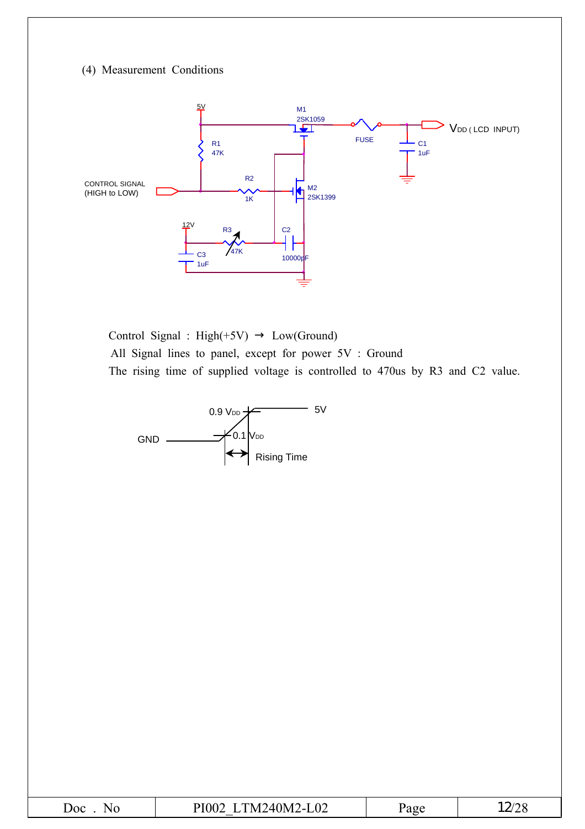#### (4) Measurement Conditions



Control Signal : High(+5V) Low(Ground) All Signal lines to panel, except for power 5V : Ground The rising time of supplied voltage is controlled to 470us by R3 and C2 value.



|--|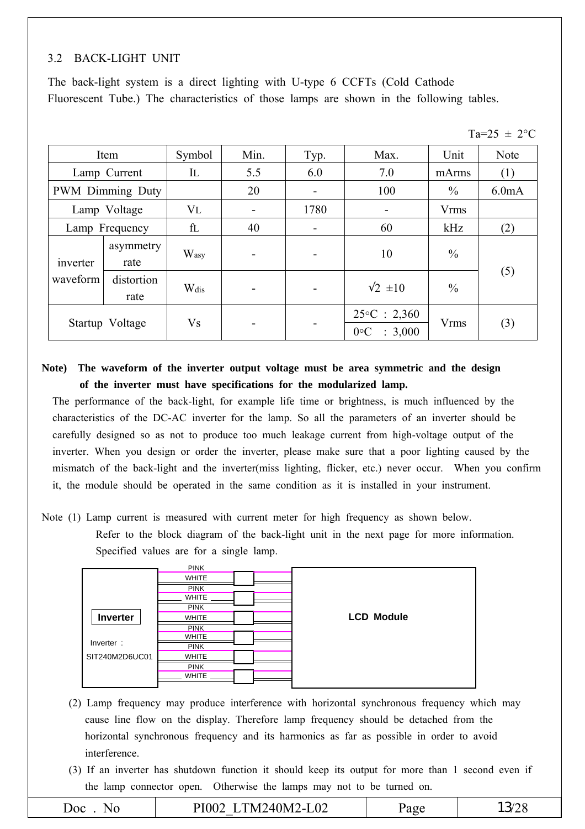#### 3.2 BACK-LIGHT UNIT

The back-light system is a direct lighting with U-type 6 CCFTs (Cold Cathode Fluorescent Tube.) The characteristics of those lamps are shown in the following tables.

|  | $-\Omega$ |
|--|-----------|
|--|-----------|

|                                | Item              |           | Min.                     | Typ.    | Max.                                           | Unit          | Note               |
|--------------------------------|-------------------|-----------|--------------------------|---------|------------------------------------------------|---------------|--------------------|
|                                | Lamp Current      | IL        | 5.5                      | 6.0     | 7.0                                            | mArms         | (1)                |
|                                | PWM Dimming Duty  |           | 20                       | ۰       | 100                                            | $\frac{0}{0}$ | 6.0 <sub>m</sub> A |
|                                | Lamp Voltage      | $V_{L}$   | $\overline{\phantom{a}}$ | 1780    |                                                | <b>Vrms</b>   |                    |
| Lamp Frequency                 |                   | fL        | 40                       | 60<br>۰ |                                                | kHz           | (2)                |
| inverter                       | asymmetry<br>rate | Wasy      | $\blacksquare$           |         | 10                                             | $\frac{0}{0}$ |                    |
| waveform<br>distortion<br>rate |                   | Wdis      | $\overline{\phantom{a}}$ |         | $2 \pm 10$                                     | $\frac{0}{0}$ | (5)                |
|                                | Startup Voltage   | <b>Vs</b> | $\overline{\phantom{0}}$ |         | $25\textdegree C : 2,360$<br>: 3,000<br>$0$ °C | <b>Vrms</b>   | (3)                |

**Note) The waveform of the inverter output voltage must be area symmetric and the design of the inverter must have specifications for the modularized lamp.**

The performance of the back-light, for example life time or brightness, is much influenced by the characteristics of the DC-AC inverter for the lamp. So all the parameters of an inverter should be carefully designed so as not to produce too much leakage current from high-voltage output of the inverter. When you design or order the inverter, please make sure that a poor lighting caused by the mismatch of the back-light and the inverter(miss lighting, flicker, etc.) never occur. When you confirm it, the module should be operated in the same condition as it is installed in your instrument.

Note (1) Lamp current is measured with current meter for high frequency as shown below. Refer to the block diagram of the back-light unit in the next page for more information. Specified values are for a single lamp.



- (2) Lamp frequency may produce interference with horizontal synchronous frequency which may cause line flow on the display. Therefore lamp frequency should be detached from the horizontal synchronous frequency and its harmonics as far as possible in order to avoid interference.
- (3) If an inverter has shutdown function it should keep its output for more than 1 second even if the lamp connector open. Otherwise the lamps may not to be turned on.

| $\overline{O}$ OC<br>N. | TM240M2-L02<br>PI002 | 'age |  |
|-------------------------|----------------------|------|--|
|                         |                      |      |  |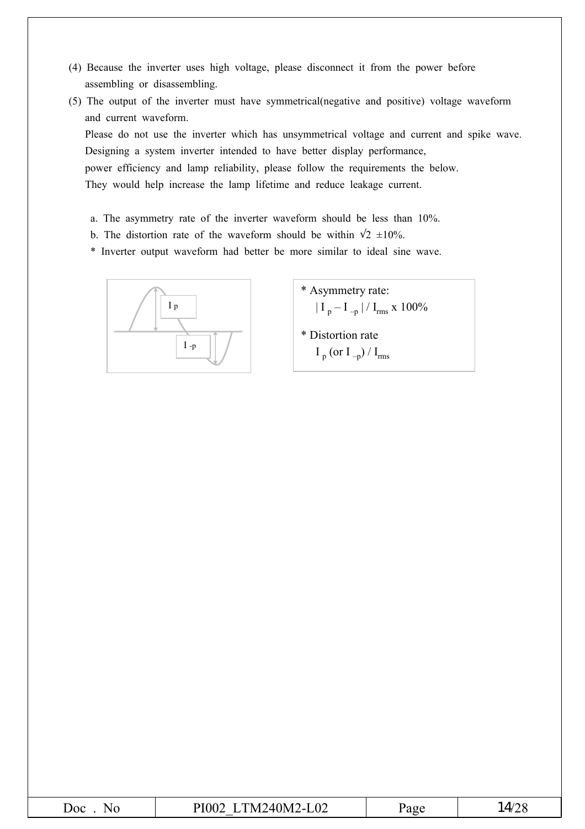- (4) Because the inverter uses high voltage, please disconnect it from the power before assembling or disassembling.
- (5) The output of the inverter must have symmetrical(negative and positive) voltage waveform and current waveform. Please do not use the inverter which has unsymmetrical voltage and current and spike wave. Designing a system inverter intended to have better display performance, power efficiency and lamp reliability, please follow the requirements the below.

They would help increase the lamp lifetime and reduce leakage current.

- a. The asymmetry rate of the inverter waveform should be less than 10%.
- b. The distortion rate of the waveform should be within  $2 \pm 10\%$ .

\* Inverter output waveform had better be more similar to ideal sine wave.



- \* Asymmetry rate:  $| I_{p} - I_{-p} | / I_{rms} \times 100\%$
- \* Distortion rate  $I_p$  (or  $I_{-p}$ ) /  $I_{rms}$

|  | Joc | --<br>N<br>$\cdot$ IV.<br>$\overline{\phantom{a}}$ |  | $\overline{A}$<br>z |
|--|-----|----------------------------------------------------|--|---------------------|
|--|-----|----------------------------------------------------|--|---------------------|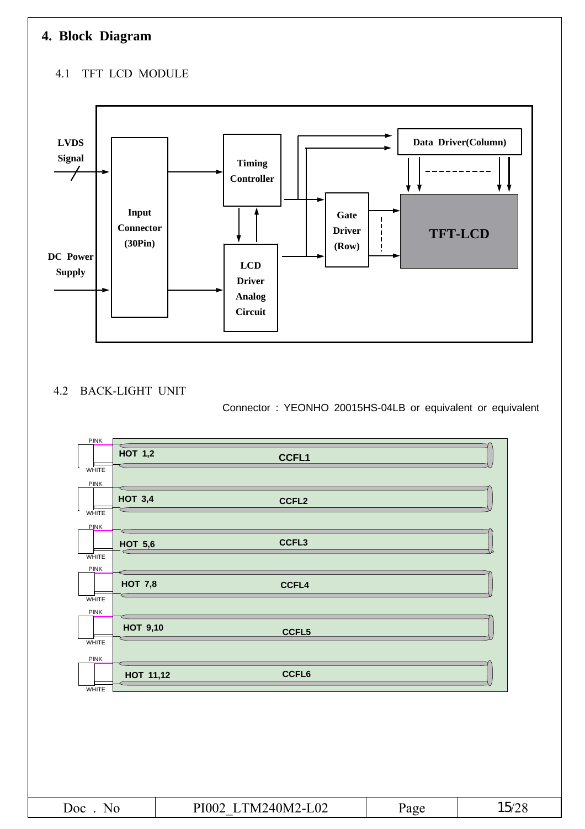### **4. Block Diagram**

#### 4.1 TFT LCD MODULE



#### 4.2 BACK-LIGHT UNIT

Connector : YEONHO 20015HS-04LB or equivalent or equivalent



| Doc.<br>$N_{\rm L}$ | TM240M2-L02<br>PI002 | 'age |  |
|---------------------|----------------------|------|--|
|                     |                      |      |  |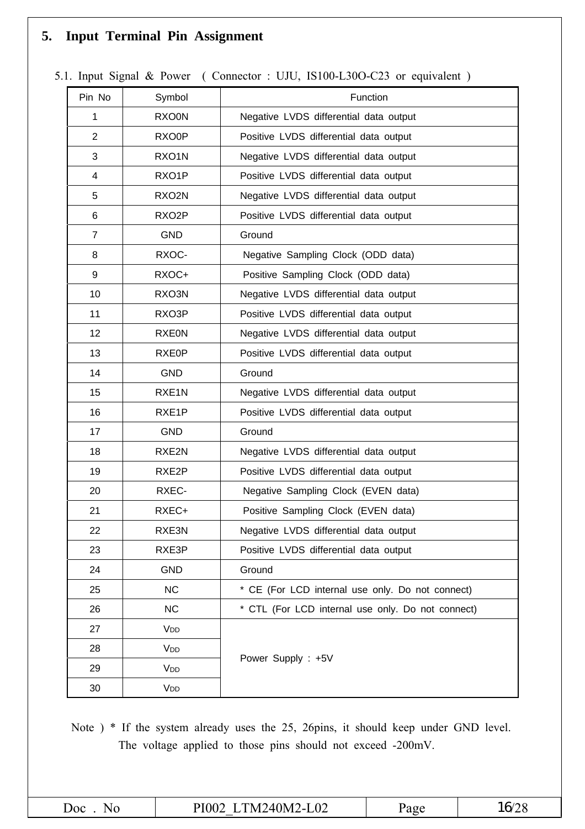### **5. Input Terminal Pin Assignment**

| Pin No         | Symbol                | Function                                          |
|----------------|-----------------------|---------------------------------------------------|
| 1              | <b>RXO0N</b>          | Negative LVDS differential data output            |
| $\overline{2}$ | RXO0P                 | Positive LVDS differential data output            |
| 3              | RXO1N                 | Negative LVDS differential data output            |
| 4              | RXO1P                 | Positive LVDS differential data output            |
| 5              | RXO2N                 | Negative LVDS differential data output            |
| 6              | RXO <sub>2</sub> P    | Positive LVDS differential data output            |
| $\overline{7}$ | <b>GND</b>            | Ground                                            |
| 8              | RXOC-                 | Negative Sampling Clock (ODD data)                |
| 9              | RXOC+                 | Positive Sampling Clock (ODD data)                |
| 10             | RXO3N                 | Negative LVDS differential data output            |
| 11             | RXO3P                 | Positive LVDS differential data output            |
| 12             | <b>RXE0N</b>          | Negative LVDS differential data output            |
| 13             | RXE0P                 | Positive LVDS differential data output            |
| 14             | <b>GND</b>            | Ground                                            |
| 15             | RXE <sub>1</sub> N    | Negative LVDS differential data output            |
| 16             | RXE1P                 | Positive LVDS differential data output            |
| 17             | <b>GND</b>            | Ground                                            |
| 18             | RXE2N                 | Negative LVDS differential data output            |
| 19             | RXE2P                 | Positive LVDS differential data output            |
| 20             | RXEC-                 | Negative Sampling Clock (EVEN data)               |
| 21             | RXEC+                 | Positive Sampling Clock (EVEN data)               |
| 22             | RXE3N                 | Negative LVDS differential data output            |
| 23             | RXE3P                 | Positive LVDS differential data output            |
| 24             | <b>GND</b>            | Ground                                            |
| 25             | <b>NC</b>             | * CE (For LCD internal use only. Do not connect)  |
| 26             | <b>NC</b>             | * CTL (For LCD internal use only. Do not connect) |
| 27             | V <sub>DD</sub>       |                                                   |
| 28             | <b>V<sub>DD</sub></b> |                                                   |
| 29             | V <sub>DD</sub>       | Power Supply: +5V                                 |
| 30             | V <sub>DD</sub>       |                                                   |

5.1. Input Signal & Power ( Connector : UJU, IS100-L30O-C23 or equivalent )

Note ) \* If the system already uses the 25, 26pins, it should keep under GND level. The voltage applied to those pins should not exceed -200mV.

| <b>Joc</b><br>_____<br>the contract of the contract of the contract of the contract of the contract of the contract of the contract of |
|----------------------------------------------------------------------------------------------------------------------------------------|
|----------------------------------------------------------------------------------------------------------------------------------------|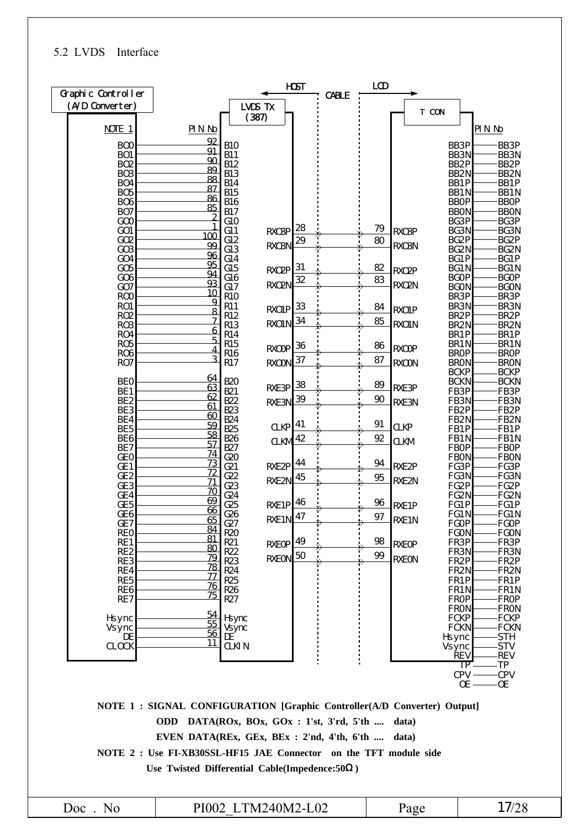#### 5.2 LVDS Interface

| Graphic Controller                 |                                                                          |                                    |                       | <b>HOST</b> |              | LCD      |                   |                                  |                   |                                  |
|------------------------------------|--------------------------------------------------------------------------|------------------------------------|-----------------------|-------------|--------------|----------|-------------------|----------------------------------|-------------------|----------------------------------|
| (A/D Converter)                    |                                                                          |                                    | LVDS TX               |             | <b>CABLE</b> |          |                   |                                  |                   |                                  |
|                                    |                                                                          |                                    | (387)                 |             |              |          |                   | T CON                            |                   |                                  |
| NOIE 1                             | PINN                                                                     |                                    |                       |             |              |          |                   |                                  |                   | <b>PINN</b>                      |
| B <sub>O</sub> O                   | 92                                                                       | <b>B10</b>                         |                       |             |              |          |                   | BB3P                             |                   | BB3P                             |
| BO <sub>1</sub>                    | 91<br>90                                                                 | <b>B11</b>                         |                       |             |              |          |                   | BB <sub>3N</sub>                 |                   | BB <sub>3N</sub>                 |
| <b>BO2</b>                         | 89                                                                       | <b>B12</b>                         |                       |             |              |          |                   | BB <sub>2</sub> P                |                   | BB <sub>2</sub> P                |
| BO <sub>3</sub><br>BO <sub>4</sub> | 88                                                                       | <b>B13</b><br><b>B14</b>           |                       |             |              |          |                   | BB <sub>2N</sub><br>BB1P         |                   | BB <sub>2N</sub><br>BB1P         |
| BO <sub>5</sub>                    | 87                                                                       | <b>B15</b>                         |                       |             |              |          |                   | BB1N                             |                   | BB1N                             |
| <b>BO6</b>                         | 86                                                                       | <b>B16</b>                         |                       |             |              |          |                   | <b>BBOP</b>                      |                   | <b>BBOP</b>                      |
| BO <sub>7</sub>                    | 85<br>∩                                                                  | <b>B17</b>                         |                       |             |              |          |                   | <b>BBON</b>                      |                   | <b>BBON</b>                      |
| GOO                                |                                                                          | G1O                                |                       | 28          |              | 79       |                   | BG3P                             |                   | BG3P                             |
| GO1<br>GO <sub>2</sub>             | 1 $\Omega$                                                               | G11<br>G12                         | <b>RXO3P</b>          | 29          |              | 80       | <b>RXO3P</b>      | BG3N<br>BG <sub>2</sub> P        |                   | BG3N<br>BG <sub>2</sub> P        |
| GO <sub>3</sub>                    | 99                                                                       | G13                                | <b>RXO3N</b>          |             | п            |          | <b>RXO3N</b>      | BG2N                             |                   | BG2N                             |
| GO <sub>4</sub>                    | 96<br>95                                                                 | G14                                |                       |             |              |          |                   | BG1P                             |                   | BG1P                             |
| GO <sub>5</sub>                    | 94                                                                       | G15                                | RXO2P                 | 31          |              | 82       | RXO2P             | BG1N                             |                   | BG1N                             |
| GO <sub>6</sub><br>GO7             | 93                                                                       | G16<br>G17                         | RXO2N                 | 32          |              | 83       | RXO2N             | <b>BGOP</b><br><b>BGON</b>       |                   | <b>BGOP</b><br><b>BGON</b>       |
| RO <sub>O</sub>                    | 10                                                                       | <b>R10</b>                         |                       |             |              |          |                   | BR3P                             |                   | BR3P                             |
| RO1                                | 9                                                                        | R <sub>11</sub>                    | <b>RXO1P</b>          | 33          |              | 84       | <b>RXO1P</b>      | BR <sub>3N</sub>                 |                   | BR <sub>3N</sub>                 |
| <b>RO2</b>                         | 8                                                                        | R12                                |                       | 34          |              | 85       |                   | BR <sub>2</sub> P                |                   | BR <sub>2</sub> P                |
| RO <sub>3</sub>                    | 6                                                                        | R13                                | <b>RXO1N</b>          |             |              |          | <b>RXO1N</b>      | BR <sub>2N</sub>                 |                   | BR <sub>2N</sub>                 |
| RO4<br>RO <sub>5</sub>             | г,                                                                       | R14<br><b>R15</b>                  |                       |             |              |          |                   | BR1P<br>BR1N                     |                   | BR1P<br>BR1N                     |
| RO <sub>6</sub>                    | 4                                                                        | R <sub>16</sub>                    | RXOP                  | 36          |              | 86       | <b>RXCOP</b>      | <b>BROP</b>                      |                   | <b>BROP</b>                      |
| RO7                                | 3                                                                        | R17                                | <b>RXCON</b>          | 37          | <b>D</b>     | 87       | <b>RXCON</b>      | <b>BRON</b>                      |                   | <b>BRON</b>                      |
|                                    | 64                                                                       |                                    |                       |             |              |          |                   | <b>BCKP</b>                      |                   | <b>BCKP</b>                      |
| <b>BEO</b>                         | 63                                                                       | <b>B20</b>                         | RXE3P                 | 38          |              | 89       | RXE3P             | <b>BCKN</b>                      |                   | <b>BCKN</b>                      |
| BE1<br>BE <sub>2</sub>             | 62                                                                       | <b>B21</b><br><b>B22</b>           | RXE3N                 | 39          |              | $\infty$ | RXE3N             | FB3P<br>FB3N                     |                   | FB3P<br>FB <sub>3N</sub>         |
| BE3                                | 61                                                                       | <b>B23</b>                         |                       |             |              |          |                   | FB <sub>2</sub> P                |                   | FB <sub>2</sub> P                |
| BE4                                | 60<br>59                                                                 | <b>B24</b>                         |                       | 41          |              | 91       |                   | FB <sub>2N</sub>                 |                   | FB <sub>2N</sub>                 |
| BE <sub>5</sub>                    | 58                                                                       | <b>B25</b>                         | CLKP                  |             |              |          | <b>CLKP</b>       | FB1P                             |                   | FB <sub>1</sub> P                |
| BE <sub>6</sub><br>BE7             | $\overline{57}$                                                          | <b>B26</b><br><b>B27</b>           | <b>CLKM</b>           | 42          |              | 92       | <b>CLKM</b>       | FB1N<br><b>FBOP</b>              |                   | FB <sub>1</sub> N<br><b>FBOP</b> |
| <b>GEO</b>                         | 74                                                                       | G20                                |                       |             |              |          |                   | <b>FBON</b>                      |                   | <b>FBON</b>                      |
| GE <sub>1</sub>                    | 73<br>72                                                                 | G21                                | RXE2P                 | 44          |              | 94       | RXE <sub>2P</sub> | FG3P                             |                   | FG3P                             |
| GE <sub>2</sub>                    | 71                                                                       | G22                                | RXE2N                 | 45          |              | 95       | RXE2N             | FG3N                             |                   | FG3N                             |
| GE <sub>3</sub><br>GE <sub>4</sub> | 70                                                                       | G23<br>G24                         |                       |             |              |          |                   | FG2P<br>FG2N                     |                   | FG <sub>2</sub> P<br>FG2N        |
| GE <sub>5</sub>                    | 69                                                                       | G25                                | RXE1P <sup>46</sup>   |             |              | 96       | RXE1P             | FG1P                             |                   | FG1P                             |
| GE <sub>6</sub>                    | 66<br>65                                                                 | G26                                | $RXE1N$ <sup>47</sup> |             |              | 97       |                   | FG1N                             |                   | FG1N                             |
| GE <sub>7</sub>                    | 84                                                                       | G27                                |                       |             |              |          | RXE <sub>1N</sub> | <b>FGOP</b>                      |                   | -FGOP                            |
| <b>REO</b><br>RE1                  | 81                                                                       | R <sub>20</sub><br>R21             |                       |             |              | 98       |                   | <b>FGON</b><br>FR3P              |                   | FGON<br>FR3P                     |
| RE <sub>2</sub>                    | 80                                                                       | R <sub>22</sub>                    | $RXEOP$ <sup>49</sup> |             |              |          | <b>RXEOP</b>      | FR3N                             |                   | -FR3N                            |
| RE3                                | 79                                                                       | R <sub>23</sub>                    | RXEON <sup>50</sup>   |             |              | 99       | <b>RXEON</b>      | FR <sub>2</sub> P                |                   | FR2P                             |
| RE4                                | 78<br>77                                                                 | R <sub>24</sub>                    |                       |             |              |          |                   | FR <sub>2N</sub>                 |                   | FR2N                             |
| RE <sub>5</sub><br>RE6             | 76                                                                       | R <sub>25</sub><br>R <sub>26</sub> |                       |             |              |          |                   | FR <sub>1</sub> P                |                   | ·FR1P                            |
| RE <sub>7</sub>                    | 75                                                                       | R <sub>27</sub>                    |                       |             |              |          |                   | FR <sub>1</sub> N<br><b>FROP</b> |                   | -FR1N<br><b>FROP</b>             |
|                                    |                                                                          |                                    |                       |             |              |          |                   | <b>FRON</b>                      |                   | <b>FRON</b>                      |
| Hsync                              | 54<br>55                                                                 | <b>Hsync</b>                       |                       |             |              |          |                   | <b>FCKP</b>                      |                   | -FCKP                            |
| Vsync<br><b>DE</b>                 | 56                                                                       | Vsync<br>DE                        |                       |             |              |          |                   | <b>FCKN</b><br>Hsync             |                   | <b>FCKN</b><br>-STH              |
| <b>CLOCK</b>                       | 11                                                                       | <b>CLKIN</b>                       |                       |             |              |          |                   | Vsync                            |                   | <b>STV</b>                       |
|                                    |                                                                          |                                    |                       |             |              |          |                   |                                  | Řev               | -REV                             |
|                                    |                                                                          |                                    |                       |             |              |          |                   |                                  | TP                | TP.                              |
|                                    |                                                                          |                                    |                       |             |              |          |                   |                                  | $CPV -$<br>$OE -$ | -CPV<br>-OE                      |
|                                    |                                                                          |                                    |                       |             |              |          |                   |                                  |                   |                                  |
|                                    | NOTE 1 : SIGNAL CONFIGURATION [Graphic Controller(A/D Converter) Output] |                                    |                       |             |              |          |                   |                                  |                   |                                  |
|                                    | ODD DATA(ROx, BOx, GOx: 1'st, 3'rd, 5'th                                 |                                    |                       |             |              |          | data)             |                                  |                   |                                  |
|                                    |                                                                          |                                    |                       |             |              |          |                   |                                  |                   |                                  |
|                                    | EVEN DATA(REx, GEx, BEx: 2'nd, 4'th, 6'th                                |                                    |                       |             |              |          | data)             |                                  |                   |                                  |
|                                    | NOTE 2 : Use FI-XB30SSL-HF15 JAE Connector on the TFT module side        |                                    |                       |             |              |          |                   |                                  |                   |                                  |
|                                    | Use Twisted Differential Cable(Impedence: 50 )                           |                                    |                       |             |              |          |                   |                                  |                   |                                  |
|                                    |                                                                          |                                    |                       |             |              |          |                   |                                  |                   |                                  |
|                                    |                                                                          |                                    |                       |             |              |          |                   |                                  |                   |                                  |
| $Doc$ . No                         |                                                                          |                                    | PI002 LTM240M2-L02    |             |              |          | Page              |                                  |                   | 17/28                            |
|                                    |                                                                          |                                    |                       |             |              |          |                   |                                  |                   |                                  |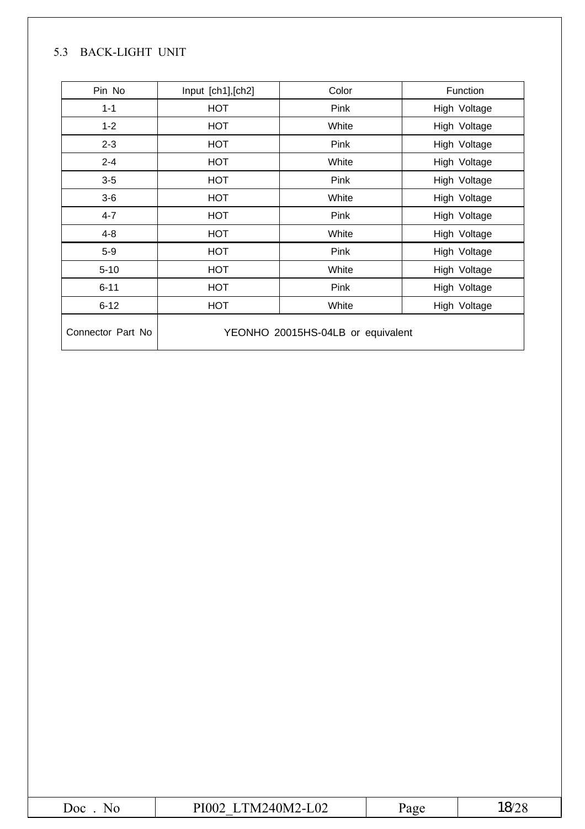#### 5.3 BACK-LIGHT UNIT

| Pin No            | Input [ch1], [ch2] | Color                             | Function     |
|-------------------|--------------------|-----------------------------------|--------------|
| $1 - 1$           | <b>HOT</b>         | Pink                              | High Voltage |
| $1 - 2$           | <b>HOT</b>         | White                             | High Voltage |
| $2 - 3$           | <b>HOT</b>         | Pink                              | High Voltage |
| $2 - 4$           | <b>HOT</b>         | White                             | High Voltage |
| $3-5$             | <b>HOT</b>         | Pink                              | High Voltage |
| $3-6$             | <b>HOT</b>         | White                             | High Voltage |
| $4 - 7$           | <b>HOT</b>         | Pink                              | High Voltage |
| $4 - 8$           | <b>HOT</b>         | White                             | High Voltage |
| $5-9$             | <b>HOT</b>         | Pink                              | High Voltage |
| $5 - 10$          | <b>HOT</b>         | White                             | High Voltage |
| $6 - 11$          | <b>HOT</b>         | Pink                              | High Voltage |
| $6 - 12$          | <b>HOT</b>         | White                             | High Voltage |
| Connector Part No |                    | YEONHO 20015HS-04LB or equivalent |              |

| ,00<br>Nr | 1240M2<br>$2-L02$<br>$TM^{\prime}$ .<br>PIOO'<br>$11L + 101$ | $O(\epsilon)$ |
|-----------|--------------------------------------------------------------|---------------|
|           |                                                              |               |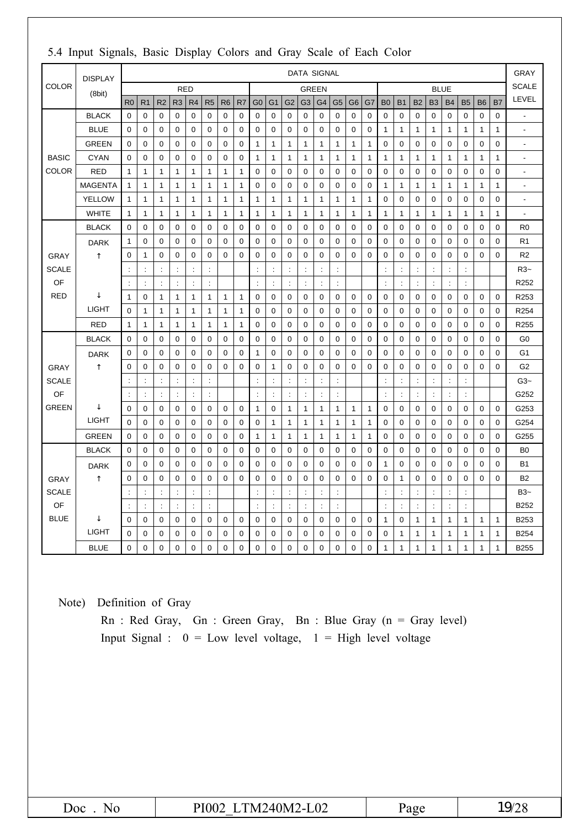|              | <b>DISPLAY</b> |                      |                      |                      |                      |                      |                |                |                |                      |                      |                      | <b>DATA SIGNAL</b>   |                |                      |                |              |                |                      |                |                      |                      |                      |              |                | <b>GRAY</b>              |
|--------------|----------------|----------------------|----------------------|----------------------|----------------------|----------------------|----------------|----------------|----------------|----------------------|----------------------|----------------------|----------------------|----------------|----------------------|----------------|--------------|----------------|----------------------|----------------|----------------------|----------------------|----------------------|--------------|----------------|--------------------------|
| <b>COLOR</b> | (8bit)         |                      |                      |                      | <b>RED</b>           |                      |                |                |                |                      |                      |                      | <b>GREEN</b>         |                |                      |                |              |                |                      |                | <b>BLUE</b>          |                      |                      |              |                | <b>SCALE</b>             |
|              |                | R <sub>0</sub>       | R <sub>1</sub>       | R <sub>2</sub>       | R <sub>3</sub>       | R <sub>4</sub>       | R <sub>5</sub> | R <sub>6</sub> | R <sub>7</sub> | G <sub>0</sub>       | G <sub>1</sub>       | G <sub>2</sub>       | G <sub>3</sub>       | G4             | G <sub>5</sub>       | G <sub>6</sub> | G7           | <b>B0</b>      | <b>B1</b>            | <b>B2</b>      | B <sub>3</sub>       | <b>B4</b>            | <b>B5</b>            | <b>B6</b>    | <b>B7</b>      | LEVEL                    |
|              | <b>BLACK</b>   | $\mathbf 0$          | 0                    | 0                    | $\mathbf 0$          | 0                    | 0              | $\mathbf 0$    | 0              | $\mathbf 0$          | $\mathbf 0$          | $\mathbf 0$          | $\mathbf 0$          | 0              | $\mathbf 0$          | 0              | 0            | $\mathbf 0$    | $\mathbf 0$          | $\mathbf 0$    | $\mathbf 0$          | $\mathbf 0$          | $\mathbf 0$          | 0            | $\mathbf 0$    | $\overline{\phantom{a}}$ |
|              | <b>BLUE</b>    | 0                    | 0                    | 0                    | 0                    | 0                    | 0              | 0              | 0              | 0                    | $\mathbf 0$          | 0                    | 0                    | 0              | 0                    | 0              | 0            | 1              | 1                    | 1              | 1                    | 1                    | 1                    | 1            | $\mathbf 1$    | $\tilde{\phantom{a}}$    |
|              | <b>GREEN</b>   | $\mathbf 0$          | 0                    | $\mathbf 0$          | $\mathbf 0$          | 0                    | 0              | $\mathbf 0$    | 0              | $\mathbf{1}$         | $\mathbf{1}$         | 1                    | $\mathbf{1}$         | 1              | $\mathbf{1}$         | $\mathbf{1}$   | $\mathbf{1}$ | $\mathbf 0$    | $\mathbf 0$          | 0              | $\mathbf 0$          | $\mathbf 0$          | 0                    | 0            | $\mathbf 0$    | Ĭ.                       |
| <b>BASIC</b> | <b>CYAN</b>    | $\mathbf 0$          | 0                    | 0                    | 0                    | 0                    | 0              | $\mathbf 0$    | 0              | $\mathbf{1}$         | $\mathbf{1}$         | 1                    | $\mathbf{1}$         | 1              | $\mathbf{1}$         | $\mathbf{1}$   | $\mathbf{1}$ | 1              | 1                    | 1              | $\mathbf{1}$         | $\mathbf{1}$         | 1                    | $\mathbf{1}$ | $\mathbf{1}$   | $\overline{a}$           |
| <b>COLOR</b> | <b>RED</b>     | $\mathbf{1}$         | 1                    | 1                    | $\mathbf{1}$         | 1                    | 1              | $\mathbf{1}$   | 1              | $\mathbf 0$          | $\mathbf 0$          | 0                    | $\mathbf 0$          | 0              | $\mathbf 0$          | $\mathbf 0$    | 0            | $\mathbf 0$    | 0                    | $\mathbf 0$    | $\mathbf 0$          | 0                    | $\mathbf 0$          | $\mathbf 0$  | $\mathbf 0$    | $\overline{a}$           |
|              | <b>MAGENTA</b> | $\mathbf{1}$         | $\mathbf{1}$         | 1                    | $\mathbf{1}$         | $\mathbf{1}$         | $\mathbf{1}$   | $\mathbf{1}$   | 1              | $\mathbf 0$          | $\mathbf 0$          | $\boldsymbol{0}$     | $\mathbf 0$          | 0              | $\mathbf 0$          | 0              | $\mathbf 0$  | 1              | 1                    | 1              | $\mathbf{1}$         | $\mathbf{1}$         | 1                    | 1            | $\mathbf{1}$   | $\overline{a}$           |
|              | <b>YELLOW</b>  | $\mathbf{1}$         | $\mathbf{1}$         | 1                    | $\mathbf{1}$         | $\mathbf{1}$         | $\mathbf{1}$   | $\mathbf{1}$   | 1              | $\mathbf{1}$         | $\mathbf{1}$         | 1                    | $\mathbf{1}$         | 1              | $\mathbf{1}$         | $\mathbf{1}$   | $\mathbf{1}$ | $\mathbf 0$    | 0                    | $\mathbf 0$    | 0                    | $\mathbf 0$          | $\mathbf 0$          | 0            | $\mathbf 0$    | $\overline{a}$           |
|              | <b>WHITE</b>   | $\mathbf{1}$         | 1                    | $\mathbf{1}$         | 1                    | $\mathbf{1}$         | $\mathbf{1}$   | $\mathbf{1}$   | 1              | $\mathbf{1}$         | $\mathbf{1}$         | 1                    | $\mathbf{1}$         | 1              | $\mathbf{1}$         | $\mathbf{1}$   | $\mathbf{1}$ | 1              | $\mathbf{1}$         | $\mathbf{1}$   | $\mathbf{1}$         | $\mathbf{1}$         | $\mathbf{1}$         | $\mathbf{1}$ | $\mathbf{1}$   | Ĭ.                       |
|              | <b>BLACK</b>   | $\mathbf 0$          | 0                    | 0                    | 0                    | 0                    | 0              | $\mathbf 0$    | 0              | $\mathbf 0$          | $\mathbf 0$          | 0                    | $\mathbf 0$          | $\mathbf 0$    | 0                    | $\mathbf 0$    | 0            | $\mathbf 0$    | 0                    | $\mathbf 0$    | 0                    | 0                    | $\mathbf 0$          | 0            | $\mathbf 0$    | R <sub>0</sub>           |
|              | <b>DARK</b>    | $\mathbf{1}$         | 0                    | 0                    | $\mathbf 0$          | 0                    | 0              | $\mathbf 0$    | 0              | $\mathbf 0$          | $\mathbf 0$          | $\mathbf 0$          | $\mathbf 0$          | $\mathbf 0$    | $\mathbf 0$          | $\mathbf 0$    | $\mathbf 0$  | $\mathbf 0$    | $\mathbf 0$          | $\mathbf 0$    | $\mathbf 0$          | $\mathbf 0$          | $\mathbf 0$          | $\mathbf 0$  | $\mathbf 0$    | R <sub>1</sub>           |
| <b>GRAY</b>  |                | $\mathbf 0$          | 1                    | 0                    | 0                    | 0                    | 0              | $\mathbf 0$    | 0              | $\mathbf 0$          | $\mathbf 0$          | 0                    | $\mathbf 0$          | 0              | $\mathbf 0$          | 0              | 0            | $\mathbf 0$    | 0                    | 0              | 0                    | $\mathbf 0$          | 0                    | $\mathbf 0$  | $\mathbf 0$    | R <sub>2</sub>           |
| <b>SCALE</b> |                | d                    | $\ddot{\phantom{a}}$ | ÷                    | ÷                    | $\ddot{\phantom{a}}$ | ÷              |                |                | ÷                    | $\ddot{\phantom{a}}$ | $\ddot{\phantom{a}}$ | $\ddot{\cdot}$       | ċ              | ł.                   |                |              | ÷              | $\ddot{\phantom{a}}$ | t              | $\ddot{\cdot}$       | ÷                    | $\ddot{\phantom{a}}$ |              |                | R3~                      |
| OF           |                | ċ                    | $\ddot{\phantom{a}}$ | $\ddot{\phantom{a}}$ | ċ                    | $\ddot{\phantom{a}}$ | ÷              |                |                | ÷                    | $\ddot{\phantom{a}}$ |                      | $\ddot{\cdot}$       | ÷              | $\ddot{\phantom{a}}$ |                |              | ÷              | $\ddot{\phantom{a}}$ | ÷              | ÷                    | $\ddot{\phantom{a}}$ | $\ddot{\phantom{a}}$ |              |                | R <sub>252</sub>         |
| <b>RED</b>   |                | 1                    | 0                    | $\mathbf{1}$         | 1                    | 1                    | $\mathbf{1}$   | 1              | 1              | 0                    | 0                    | 0                    | $\mathbf 0$          | 0              | $\mathbf 0$          | 0              | 0            | 0              | 0                    | 0              | $\mathbf 0$          | 0                    | 0                    | 0            | $\mathbf 0$    | R <sub>253</sub>         |
|              | <b>LIGHT</b>   | $\Omega$             | $\mathbf{1}$         | $\mathbf{1}$         | $\mathbf{1}$         | $\mathbf{1}$         | $\mathbf{1}$   | $\mathbf{1}$   | $\mathbf{1}$   | $\mathbf 0$          | $\mathbf 0$          | $\mathbf 0$          | $\mathbf 0$          | $\mathbf 0$    | $\mathbf 0$          | $\mathbf 0$    | $\mathbf 0$  | $\mathbf 0$    | $\mathbf 0$          | 0              | $\mathbf 0$          | $\mathbf 0$          | $\mathbf 0$          | $\mathbf 0$  | $\mathbf 0$    | R <sub>254</sub>         |
|              | <b>RED</b>     | 1                    | 1                    | 1                    | $\mathbf 1$          | 1                    | 1              | $\mathbf{1}$   | 1              | 0                    | 0                    | 0                    | 0                    | 0              | $\mathbf 0$          | 0              | 0            | 0              | 0                    | 0              | $\mathbf 0$          | 0                    | 0                    | $\mathbf 0$  | 0              | R <sub>255</sub>         |
|              | <b>BLACK</b>   | $\Omega$             | $\mathbf 0$          | $\mathbf 0$          | $\mathbf 0$          | 0                    | $\mathbf 0$    | $\mathbf 0$    | 0              | $\mathbf 0$          | $\mathbf 0$          | $\mathbf 0$          | $\mathbf 0$          | $\mathbf 0$    | $\mathbf 0$          | $\mathbf 0$    | $\mathbf 0$  | $\mathbf 0$    | $\mathbf 0$          | $\mathbf 0$    | $\mathbf 0$          | $\mathbf 0$          | $\mathbf 0$          | $\mathbf 0$  | $\mathbf 0$    | G <sub>0</sub>           |
|              | <b>DARK</b>    | $\Omega$             | 0                    | $\mathbf 0$          | 0                    | 0                    | 0              | $\mathbf 0$    | 0              | $\mathbf{1}$         | $\mathbf 0$          | 0                    | $\mathbf 0$          | 0              | $\mathbf 0$          | $\mathbf 0$    | 0            | $\mathbf 0$    | 0                    | 0              | $\mathbf 0$          | 0                    | 0                    | 0            | $\mathbf 0$    | G <sub>1</sub>           |
| <b>GRAY</b>  |                | 0                    | $\mathbf 0$          | 0                    | 0                    | 0                    | $\mathbf 0$    | 0              | 0              | $\mathbf 0$          | 1                    | 0                    | $\mathbf 0$          | 0              | 0                    | $\Omega$       | 0            | $\mathbf 0$    | 0                    | 0              | 0                    | 0                    | 0                    | 0            | $\mathbf 0$    | G <sub>2</sub>           |
| <b>SCALE</b> |                | $\ddot{\cdot}$       | ÷                    | $\ddot{\phantom{a}}$ | t                    | $\ddot{\cdot}$       | ÷              |                |                | ÷                    |                      | ÷                    | $\ddot{\phantom{a}}$ | t              | $\ddot{\phantom{a}}$ |                |              | $\ddot{\cdot}$ | $\ddot{\phantom{a}}$ | ÷              | $\ddot{\phantom{a}}$ | $\ddot{\cdot}$       | $\ddot{\phantom{a}}$ |              |                | $G3-$                    |
| OF           |                | ÷                    | $\ddot{\cdot}$       |                      | $\ddot{\phantom{a}}$ | $\ddot{\phantom{a}}$ | ÷              |                |                | $\ddot{\phantom{a}}$ | $\ddot{\phantom{a}}$ | $\ddot{\phantom{a}}$ | $\ddot{\phantom{a}}$ | ċ              | $\ddot{\phantom{a}}$ |                |              |                | $\ddot{\phantom{a}}$ | ÷              | $\ddot{\phantom{a}}$ | $\ddot{\phantom{a}}$ | $\ddot{\phantom{a}}$ |              |                | G252                     |
| <b>GREEN</b> |                | $\mathbf 0$          | 0                    | 0                    | 0                    | 0                    | 0              | $\mathbf 0$    | 0              | $\mathbf{1}$         | $\mathbf 0$          | 1                    | $\mathbf{1}$         | 1              | $\mathbf{1}$         | 1              | 1            | $\mathbf 0$    | 0                    | 0              | 0                    | 0                    | 0                    | 0            | $\mathbf 0$    | G253                     |
|              | <b>LIGHT</b>   | $\mathbf 0$          | 0                    | 0                    | 0                    | 0                    | 0              | $\mathbf 0$    | 0              | 0                    | $\mathbf{1}$         | 1                    | $\mathbf{1}$         | 1              | $\mathbf{1}$         | $\mathbf{1}$   | $\mathbf{1}$ | $\mathbf 0$    | 0                    | 0              | 0                    | 0                    | $\mathbf 0$          | 0            | $\mathbf 0$    | G254                     |
|              | <b>GREEN</b>   | $\mathbf 0$          | $\mathbf 0$          | 0                    | $\mathbf 0$          | $\mathbf 0$          | $\mathbf 0$    | $\mathbf 0$    | 0              | $\mathbf{1}$         | $\mathbf{1}$         | $\mathbf{1}$         | $\mathbf{1}$         | 1              | $\mathbf{1}$         | $\mathbf{1}$   | $\mathbf{1}$ | $\mathbf 0$    | $\mathbf 0$          | $\mathbf 0$    | $\mathbf 0$          | $\mathbf 0$          | $\mathbf 0$          | $\mathbf 0$  | $\mathbf 0$    | G255                     |
|              | <b>BLACK</b>   | $\mathbf 0$          | 0                    | 0                    | 0                    | 0                    | 0              | $\mathbf 0$    | 0              | $\mathbf 0$          | $\mathbf 0$          | 0                    | $\mathbf 0$          | 0              | $\mathbf 0$          | $\mathbf 0$    | 0            | $\mathbf 0$    | 0                    | 0              | 0                    | 0                    | 0                    | 0            | $\mathbf 0$    | B <sub>0</sub>           |
|              | <b>DARK</b>    | 0                    | 0                    | 0                    | 0                    | 0                    | 0              | $\mathbf 0$    | 0              | $\mathbf 0$          | $\mathbf 0$          | 0                    | $\mathbf 0$          | 0              | $\mathbf 0$          | $\mathbf 0$    | 0            | 1              | 0                    | 0              | 0                    | 0                    | 0                    | 0            | $\mathbf 0$    | <b>B1</b>                |
| <b>GRAY</b>  |                | $\mathbf 0$          | 0                    | 0                    | $\mathbf 0$          | 0                    | 0              | $\mathbf 0$    | 0              | $\mathbf 0$          | $\mathbf 0$          | $\mathbf 0$          | $\mathbf 0$          | 0              | $\mathbf 0$          | $\Omega$       | $\mathbf 0$  | $\mathbf 0$    | $\mathbf{1}$         | $\mathbf 0$    | 0                    | $\mathbf 0$          | $\mathbf 0$          | $\mathbf 0$  | $\mathbf 0$    | <b>B2</b>                |
| <b>SCALE</b> |                | $\ddot{\cdot}$       | $\ddot{\phantom{a}}$ | $\ddot{\phantom{a}}$ | ÷                    | $\ddot{\phantom{a}}$ | ÷              |                |                | $\ddot{\phantom{a}}$ | $\ddot{\phantom{a}}$ | $\ddot{\phantom{a}}$ | $\ddot{\phantom{a}}$ | ÷              | ÷                    |                |              | ÷              | $\ddot{\phantom{a}}$ | ÷              | ÷                    | $\ddot{\cdot}$       | $\ddot{\phantom{a}}$ |              |                | $B3-$                    |
| OF           |                | $\ddot{\phantom{a}}$ | $\ddot{\phantom{a}}$ | $\ddot{\phantom{a}}$ | $\ddot{\cdot}$       | $\ddot{\phantom{a}}$ | $\ddot{\cdot}$ |                |                | $\ddot{\phantom{a}}$ | $\ddot{\phantom{a}}$ | $\ddot{\phantom{a}}$ | $\ddot{\phantom{a}}$ | $\ddot{\cdot}$ | $\ddot{\phantom{a}}$ |                |              | ÷              | $\ddot{\phantom{a}}$ | $\ddot{\cdot}$ | $\ddot{\phantom{a}}$ | $\colon$             | ÷                    |              |                | B252                     |
| <b>BLUE</b>  |                | $\mathbf 0$          | 0                    | 0                    | 0                    | 0                    | 0              | 0              | 0              | 0                    | $\mathbf 0$          | 0                    | 0                    | 0              | 0                    | 0              | 0            | 1              | 0                    | 1              | 1                    | 1                    | 1                    | 1            | $\mathbf{1}$   | B253                     |
|              | <b>LIGHT</b>   | $\mathbf 0$          | 0                    | 0                    | $\mathbf 0$          | 0                    | 0              | $\mathbf 0$    | 0              | $\mathbf 0$          | 0                    | 0                    | $\mathbf 0$          | 0              | $\mathbf 0$          | 0              | 0            | $\mathbf 0$    | $\mathbf{1}$         | 1              | $\mathbf{1}$         | $\mathbf{1}$         | 1                    | $\mathbf{1}$ | $\mathbf{1}$   | <b>B254</b>              |
|              | <b>BLUE</b>    | $\mathbf 0$          | 0                    | 0                    | $\mathbf 0$          | 0                    | $\mathbf 0$    | $\mathbf 0$    | 0              | $\mathbf 0$          | $\mathbf 0$          | $\boldsymbol{0}$     | $\overline{0}$       | 0              | $\mathbf 0$          | $\mathbf 0$    | 0            | 1              | 1                    | $\mathbf{1}$   | $\mathbf{1}$         | $\mathbf{1}$         | 1                    | $\mathbf{1}$ | $\overline{1}$ | <b>B255</b>              |

#### 5.4 Input Signals, Basic Display Colors and Gray Scale of Each Color

Note) Definition of Gray

Rn : Red Gray, Gn : Green Gray, Bn : Blue Gray (n = Gray level) Input Signal :  $0 = Low level voltage$ ,  $1 = High level voltage$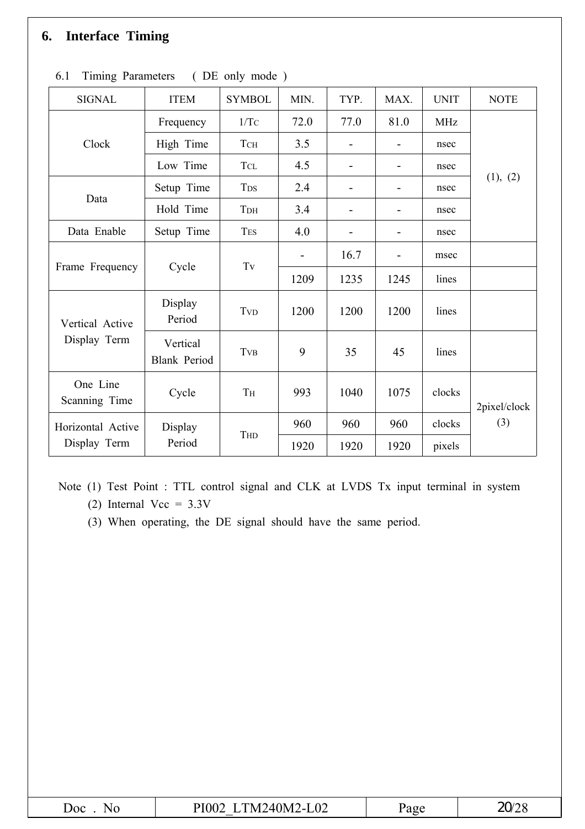### **6. Interface Timing**

| <b>SIGNAL</b>             | <b>ITEM</b>                     | <b>SYMBOL</b>                      | MIN.                         | TYP.                     | MAX. | <b>UNIT</b> | <b>NOTE</b>  |
|---------------------------|---------------------------------|------------------------------------|------------------------------|--------------------------|------|-------------|--------------|
|                           | Frequency                       | 1/Tc                               | 72.0                         | 77.0                     | 81.0 | <b>MHz</b>  |              |
| Clock                     | High Time                       | <b>T</b> CH                        | 3.5                          | $\overline{\phantom{0}}$ |      | nsec        |              |
|                           | Low Time                        | <b>TCL</b>                         | 4.5                          | -                        |      | nsec        |              |
|                           | Setup Time                      | <b>T</b> <sub>DS</sub>             | 2.4                          |                          |      | nsec        | (1), (2)     |
| Data                      | Hold Time                       | T <sub>DH</sub>                    | 3.4                          | $\overline{\phantom{a}}$ |      | nsec        |              |
| Data Enable               | Setup Time                      | <b>TES</b>                         | 4.0                          |                          |      | nsec        |              |
|                           |                                 | $\operatorname{Tv}$                | $\qquad \qquad \blacksquare$ | 16.7                     |      | msec        |              |
| Frame Frequency           | Cycle                           |                                    | 1209                         | 1235                     | 1245 | lines       |              |
| Vertical Active           | Display<br>Period               | <b>T</b> <sub>V</sub> <sub>D</sub> | 1200                         | 1200                     | 1200 | lines       |              |
| Display Term              | Vertical<br><b>Blank Period</b> | <b>T</b> <sub>V</sub> B            | 9                            | 35                       | 45   | lines       |              |
| One Line<br>Scanning Time | Cycle                           | $\rm T\rm H$                       | 993                          | 1040                     | 1075 | clocks      | 2pixel/clock |
| Horizontal Active         | Display                         |                                    | 960                          | 960                      | 960  | clocks      | (3)          |
| Display Term              | Period                          | THD                                | 1920                         | 1920                     | 1920 | pixels      |              |

|  | 6.1 Timing Parameters |  | DE only mode) |  |
|--|-----------------------|--|---------------|--|
|  |                       |  |               |  |

Note (1) Test Point : TTL control signal and CLK at LVDS Tx input terminal in system

(2) Internal Vcc =  $3.3V$ 

(3) When operating, the DE signal should have the same period.

| Doc<br>NC | TM240M2-L02<br>PI002 | Page | $\mathbf{a}$ |
|-----------|----------------------|------|--------------|
|-----------|----------------------|------|--------------|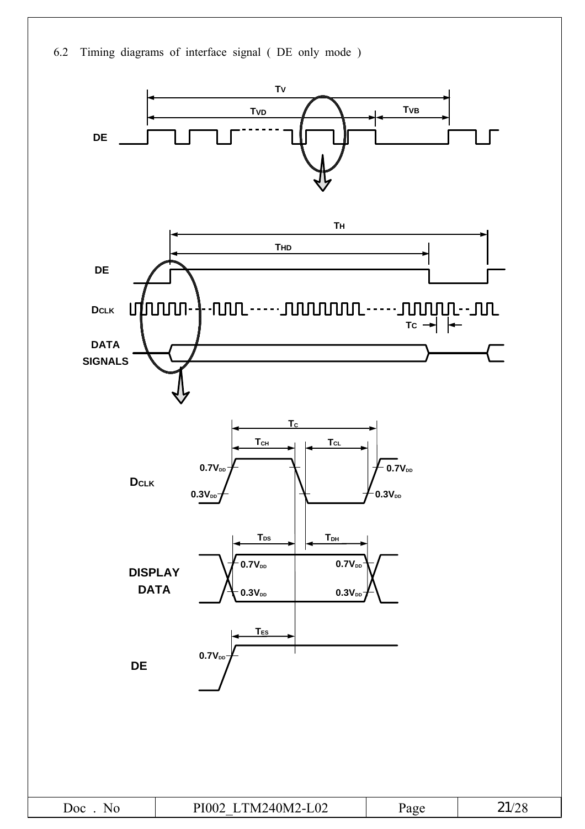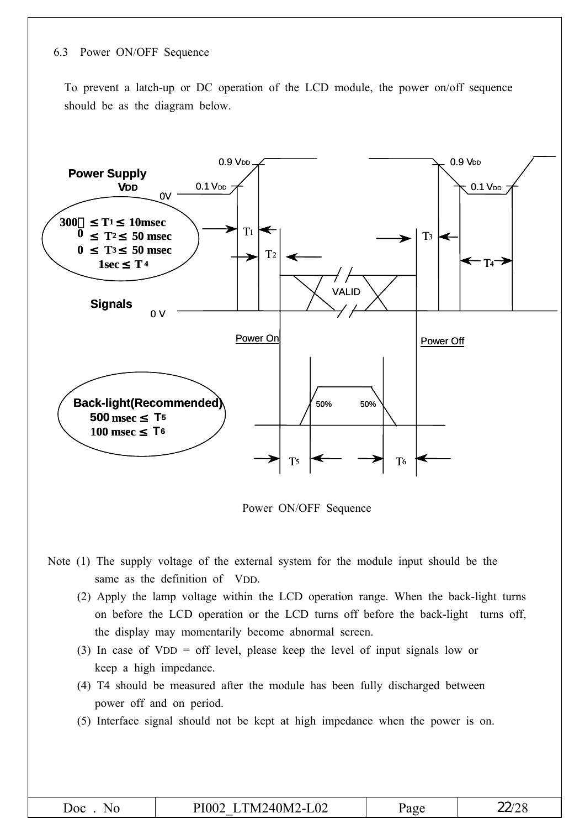#### 6.3 Power ON/OFF Sequence

To prevent a latch-up or DC operation of the LCD module, the power on/off sequence should be as the diagram below.



Power ON/OFF Sequence

- Note (1) The supply voltage of the external system for the module input should be the same as the definition of VDD.
	- (2) Apply the lamp voltage within the LCD operation range. When the back-light turns on before the LCD operation or the LCD turns off before the back-light turns off, the display may momentarily become abnormal screen.
	- (3) In case of VDD = off level, please keep the level of input signals low or keep a high impedance.
	- (4) T4 should be measured after the module has been fully discharged between power off and on period.
	- (5) Interface signal should not be kept at high impedance when the power is on.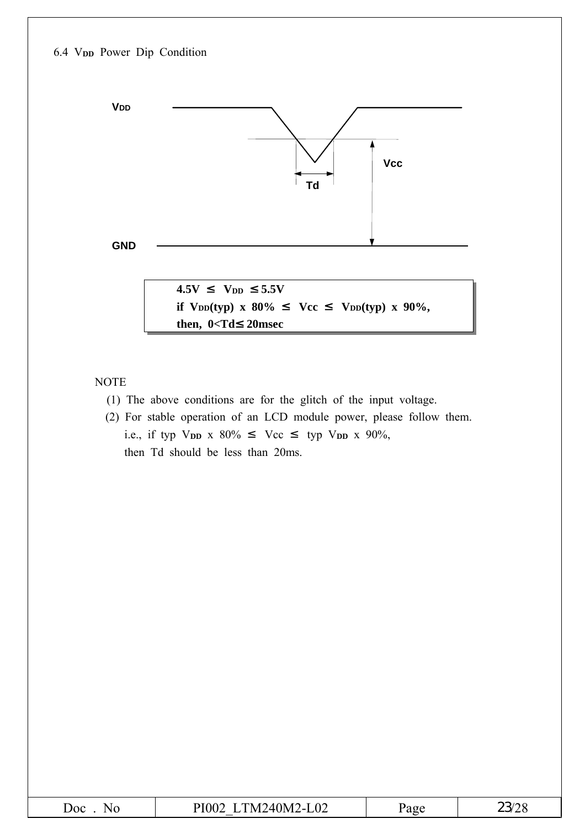#### 6.4 V**DD** Power Dip Condition



NOTE

- (1) The above conditions are for the glitch of the input voltage.
- (2) For stable operation of an LCD module power, please follow them. i.e., if typ V<sub>DD</sub> x 80% Vcc typ V<sub>DD</sub> x 90%, then Td should be less than 20ms.

| <b>Joc</b><br>Nz. | TM240M2<br>ഹ<br>ÞІ<br>O(Y)<br>$\sim$<br>LVZ.<br>______<br>__ | $\sim$ $\sim$<br>د ۲۱ | $\gamma$<br><b>ENSEC</b> |
|-------------------|--------------------------------------------------------------|-----------------------|--------------------------|
|-------------------|--------------------------------------------------------------|-----------------------|--------------------------|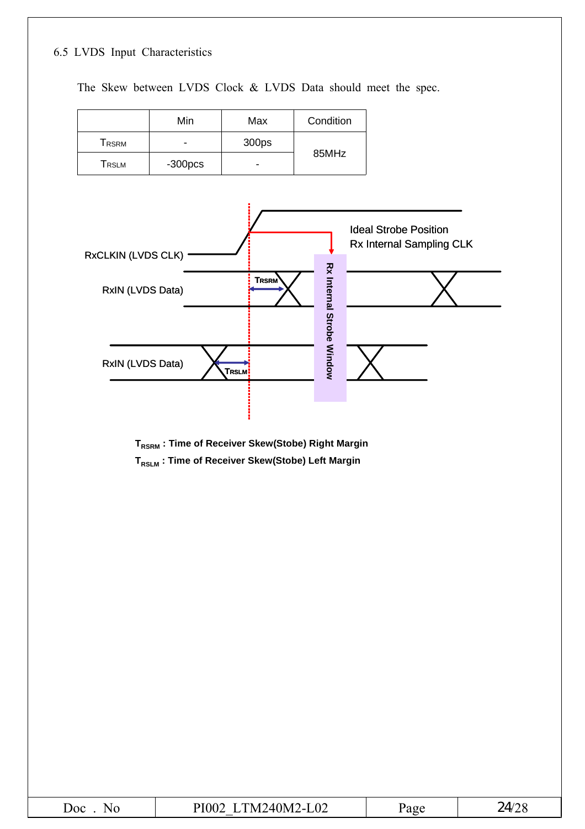#### 6.5 LVDS Input Characteristics

The Skew between LVDS Clock & LVDS Data should meet the spec.

|       | Min      | Max   | Condition |
|-------|----------|-------|-----------|
| Trsrm | -        | 300ps |           |
| Trslm | $-300pc$ | -     | 85MHz     |



- **T<sub>RSRM</sub>** : Time of Receiver Skew(Stobe) Right Margin
- **TRSLM : Time of Receiver Skew(Stobe) Left Margin**

| $I \cap I \cap I \cap I \cap I$<br>M<br>IM.<br>$\Delta$<br>лос<br>$\mathbf{v}$<br>- 1<br>ப∪∠<br>$\mathbf{v}$<br>.<br>_______<br>__ | AOP | 7IJ |
|------------------------------------------------------------------------------------------------------------------------------------|-----|-----|
|------------------------------------------------------------------------------------------------------------------------------------|-----|-----|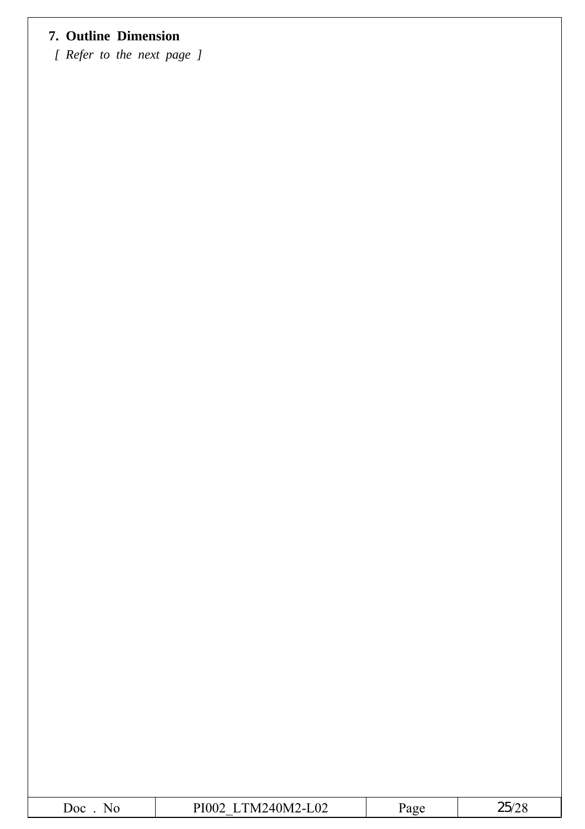### **7. Outline Dimension**

*[ Refer to the next page ]*

| $\overline{\text{C}^{\text{O}}}$<br>. . | $\Omega$<br>וח<br>- 1<br>ப∪∠<br>-- | ነወዶ | $   -$<br>∠∪ |
|-----------------------------------------|------------------------------------|-----|--------------|
|                                         |                                    |     |              |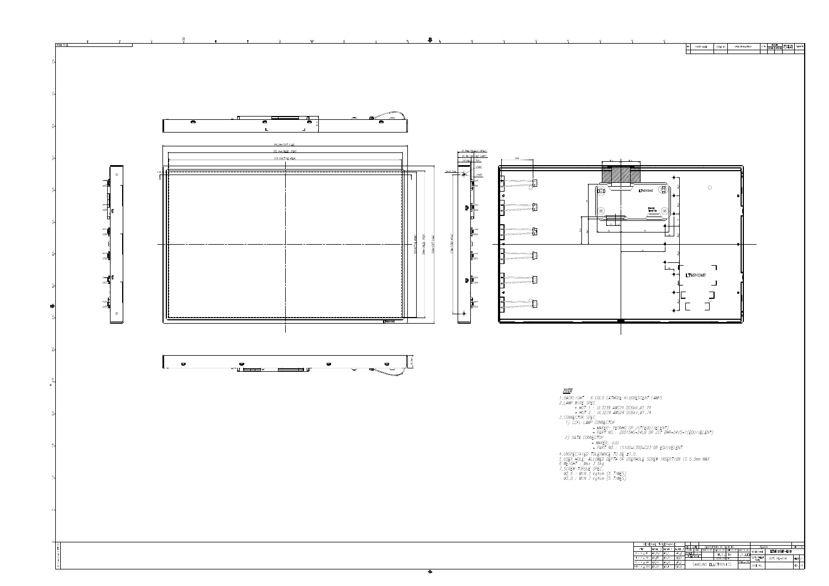

 $\overline{\phantom{a}}$ 

| <b>GENERAL</b>                         |              | TOL FRANCE |              |       |                  |                                     |                         |          |               |                |           |  |
|----------------------------------------|--------------|------------|--------------|-------|------------------|-------------------------------------|-------------------------|----------|---------------|----------------|-----------|--|
| <b>STEP</b>                            | <b>LEVEL</b> | 1/LEVEL 2  | <b>LEVEL</b> | REV   | DATE             |                                     | DESCRIPTION OF REVISION |          | <b>REASON</b> |                | CHC D BY  |  |
|                                        |              |            |              | UNIT  | mm               | DRA'N BY DES'D BY CHK'D BY APP'D BY |                         |          | MODEL NAME    | I.TM240M2-I.01 |           |  |
| $0 < X \leq 4$                         | ±0.05/       | 10.1       | ±0.2'        | SCALE |                  |                                     | H.S.KIM                 | U.G.LEE  |               |                |           |  |
| $4 \times X \leq 16$                   | ±0.08        | ±0.15      | ±0/3         |       | <b>TOLERANCE</b> |                                     | 2005.05 24              |          | PART/SHEET    | OUTLINE-DIM.   | SHEET 1/1 |  |
| $16 \times X \leq 64$                  | ±0'.12       | ±0.25      | 10.5         |       |                  | SAMSUNG ELECTRONICS                 |                         | SPEC. NO | <b>NAME</b>   |                |           |  |
| $64 \times X \le 256$ $\cancel{A}0.25$ |              | ±0.4       | 10.8         |       |                  |                                     |                         |          | CODE NO       |                | VER. 00   |  |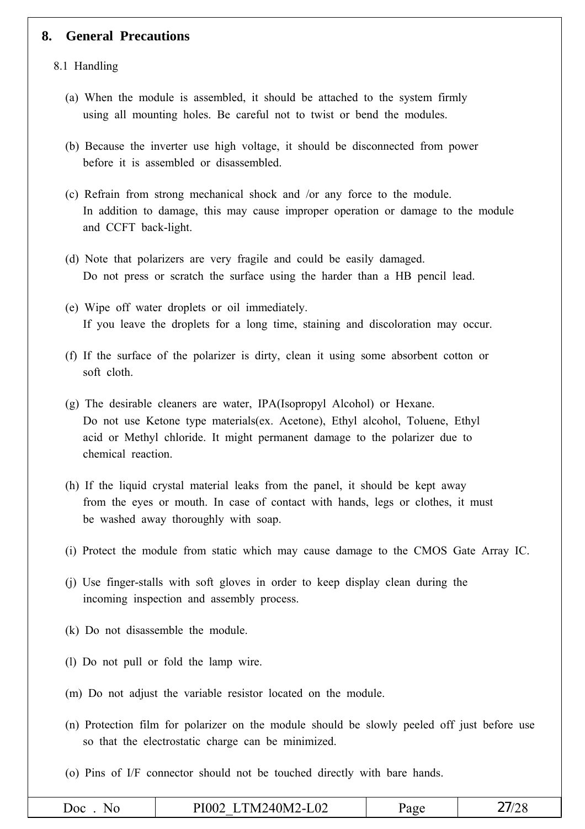#### **8. General Precautions**

#### 8.1 Handling

- (a) When the module is assembled, it should be attached to the system firmly using all mounting holes. Be careful not to twist or bend the modules.
- (b) Because the inverter use high voltage, it should be disconnected from power before it is assembled or disassembled.
- (c) Refrain from strong mechanical shock and /or any force to the module. In addition to damage, this may cause improper operation or damage to the module and CCFT back-light.
- (d) Note that polarizers are very fragile and could be easily damaged. Do not press or scratch the surface using the harder than a HB pencil lead.
- (e) Wipe off water droplets or oil immediately. If you leave the droplets for a long time, staining and discoloration may occur.
- (f) If the surface of the polarizer is dirty, clean it using some absorbent cotton or soft cloth.
- (g) The desirable cleaners are water, IPA(Isopropyl Alcohol) or Hexane. Do not use Ketone type materials(ex. Acetone), Ethyl alcohol, Toluene, Ethyl acid or Methyl chloride. It might permanent damage to the polarizer due to chemical reaction.
- (h) If the liquid crystal material leaks from the panel, it should be kept away from the eyes or mouth. In case of contact with hands, legs or clothes, it must be washed away thoroughly with soap.
- (i) Protect the module from static which may cause damage to the CMOS Gate Array IC.
- (j) Use finger-stalls with soft gloves in order to keep display clean during the incoming inspection and assembly process.
- (k) Do not disassemble the module.
- (l) Do not pull or fold the lamp wire.
- (m) Do not adjust the variable resistor located on the module.
- (n) Protection film for polarizer on the module should be slowly peeled off just before use so that the electrostatic charge can be minimized.
- (o) Pins of I/F connector should not be touched directly with bare hands.

|  | N.<br>$\mathbf{a}$ | $\overline{1}$ 02<br>$\angle 40$ M <sup>2</sup><br>.<br>υı<br>'N<br>.<br>∙L∪∠ | . av⊬ | ∠∪ |
|--|--------------------|-------------------------------------------------------------------------------|-------|----|
|--|--------------------|-------------------------------------------------------------------------------|-------|----|